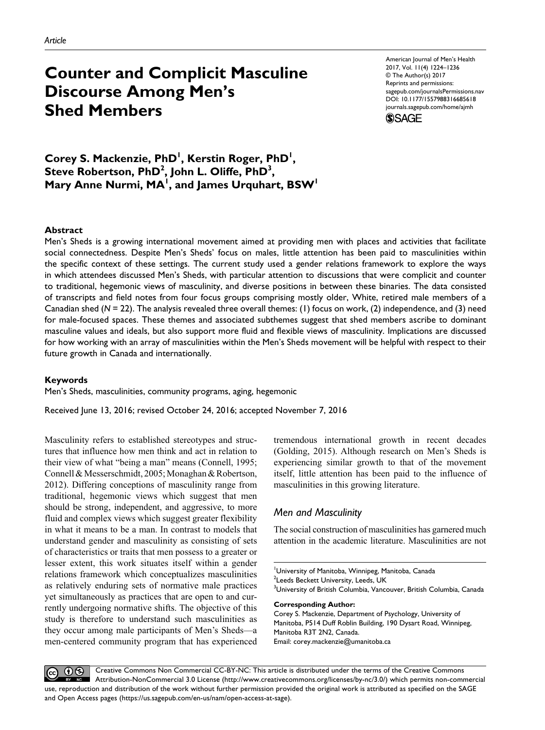# **Counter and Complicit Masculine Discourse Among Men's Shed Members**

https://doi.org/10.1177/1557988316685618 DOI: 10.1177/1557988316685618 American Journal of Men's Health 2017, Vol. 11(4) 1224–1236 © The Author(s) 2017 Reprints and permissions: [sagepub.com/journalsPermissions.nav](https://us.sagepub.com/en-us/journals-permissions) [journals.sagepub.com/home/ajmh](https://journals.sagepub.com/home/ajmh)



**C**orey S. Mackenzie, PhD<sup>1</sup>, Kerstin Roger, PhD<sup>1</sup>, **S**teve Robertson, PhD<sup>2</sup>, John L. Oliffe, PhD<sup>3</sup>, **Mary Anne Nurmi, MA1 , and James Urquhart, BSW1**

### **Abstract**

Men's Sheds is a growing international movement aimed at providing men with places and activities that facilitate social connectedness. Despite Men's Sheds' focus on males, little attention has been paid to masculinities within the specific context of these settings. The current study used a gender relations framework to explore the ways in which attendees discussed Men's Sheds, with particular attention to discussions that were complicit and counter to traditional, hegemonic views of masculinity, and diverse positions in between these binaries. The data consisted of transcripts and field notes from four focus groups comprising mostly older, White, retired male members of a Canadian shed (*N* = 22). The analysis revealed three overall themes: (1) focus on work, (2) independence, and (3) need for male-focused spaces. These themes and associated subthemes suggest that shed members ascribe to dominant masculine values and ideals, but also support more fluid and flexible views of masculinity. Implications are discussed for how working with an array of masculinities within the Men's Sheds movement will be helpful with respect to their future growth in Canada and internationally.

### **Keywords**

Men's Sheds, masculinities, community programs, aging, hegemonic

Received June 13, 2016; revised October 24, 2016; accepted November 7, 2016

Masculinity refers to established stereotypes and structures that influence how men think and act in relation to their view of what "being a man" means (Connell, 1995; Connell & Messerschmidt, 2005; Monaghan & Robertson, 2012). Differing conceptions of masculinity range from traditional, hegemonic views which suggest that men should be strong, independent, and aggressive, to more fluid and complex views which suggest greater flexibility in what it means to be a man. In contrast to models that understand gender and masculinity as consisting of sets of characteristics or traits that men possess to a greater or lesser extent, this work situates itself within a gender relations framework which conceptualizes masculinities as relatively enduring sets of normative male practices yet simultaneously as practices that are open to and currently undergoing normative shifts. The objective of this study is therefore to understand such masculinities as they occur among male participants of Men's Sheds—a men-centered community program that has experienced

tremendous international growth in recent decades (Golding, 2015). Although research on Men's Sheds is experiencing similar growth to that of the movement itself, little attention has been paid to the influence of masculinities in this growing literature.

# *Men and Masculinity*

The social construction of masculinities has garnered much attention in the academic literature. Masculinities are not

**Corresponding Author:**

Corey S. Mackenzie, Department of Psychology, University of Manitoba, P514 Duff Roblin Building, 190 Dysart Road, Winnipeg, Manitoba R3T 2N2, Canada. Email: [corey.mackenzie@umanitoba.ca](mailto:corey.mackenzie@umanitoba.ca)

Creative Commons Non Commercial CC-BY-NC: This article is distributed under the terms of the Creative Commons  $0$  $(c)$ Attribution-NonCommercial 3.0 License (http://www.creativecommons.org/licenses/by-nc/3.0/) which permits non-commercial use, reproduction and distribution of the work without further permission provided the original work is attributed as specified on the SAGE and Open Access pages (https://us.sagepub.com/en-us/nam/open-access-at-sage).

<sup>1</sup> University of Manitoba, Winnipeg, Manitoba, Canada  $^2$ Leeds Beckett University, Leeds, UK

<sup>&</sup>lt;sup>3</sup>University of British Columbia, Vancouver, British Columbia, Canada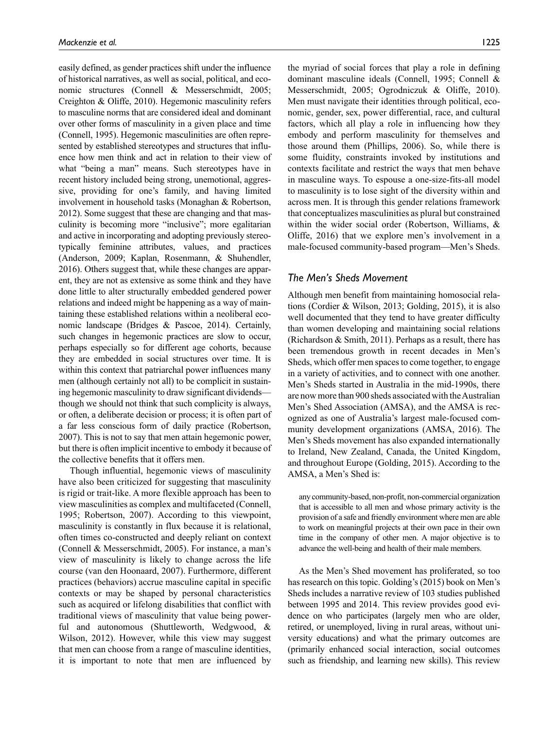easily defined, as gender practices shift under the influence of historical narratives, as well as social, political, and economic structures (Connell & Messerschmidt, 2005; Creighton & Oliffe, 2010). Hegemonic masculinity refers to masculine norms that are considered ideal and dominant over other forms of masculinity in a given place and time (Connell, 1995). Hegemonic masculinities are often represented by established stereotypes and structures that influence how men think and act in relation to their view of what "being a man" means. Such stereotypes have in recent history included being strong, unemotional, aggressive, providing for one's family, and having limited involvement in household tasks (Monaghan & Robertson, 2012). Some suggest that these are changing and that masculinity is becoming more "inclusive"; more egalitarian and active in incorporating and adopting previously stereotypically feminine attributes, values, and practices (Anderson, 2009; Kaplan, Rosenmann, & Shuhendler, 2016). Others suggest that, while these changes are apparent, they are not as extensive as some think and they have done little to alter structurally embedded gendered power relations and indeed might be happening as a way of maintaining these established relations within a neoliberal economic landscape (Bridges & Pascoe, 2014). Certainly, such changes in hegemonic practices are slow to occur, perhaps especially so for different age cohorts, because they are embedded in social structures over time. It is within this context that patriarchal power influences many men (although certainly not all) to be complicit in sustaining hegemonic masculinity to draw significant dividends though we should not think that such complicity is always, or often, a deliberate decision or process; it is often part of a far less conscious form of daily practice (Robertson, 2007). This is not to say that men attain hegemonic power, but there is often implicit incentive to embody it because of the collective benefits that it offers men.

Though influential, hegemonic views of masculinity have also been criticized for suggesting that masculinity is rigid or trait-like. A more flexible approach has been to view masculinities as complex and multifaceted (Connell, 1995; Robertson, 2007). According to this viewpoint, masculinity is constantly in flux because it is relational, often times co-constructed and deeply reliant on context (Connell & Messerschmidt, 2005). For instance, a man's view of masculinity is likely to change across the life course (van den Hoonaard, 2007). Furthermore, different practices (behaviors) accrue masculine capital in specific contexts or may be shaped by personal characteristics such as acquired or lifelong disabilities that conflict with traditional views of masculinity that value being powerful and autonomous (Shuttleworth, Wedgwood, & Wilson, 2012). However, while this view may suggest that men can choose from a range of masculine identities, it is important to note that men are influenced by

the myriad of social forces that play a role in defining dominant masculine ideals (Connell, 1995; Connell & Messerschmidt, 2005; Ogrodniczuk & Oliffe, 2010). Men must navigate their identities through political, economic, gender, sex, power differential, race, and cultural factors, which all play a role in influencing how they embody and perform masculinity for themselves and those around them (Phillips, 2006). So, while there is some fluidity, constraints invoked by institutions and contexts facilitate and restrict the ways that men behave in masculine ways. To espouse a one-size-fits-all model to masculinity is to lose sight of the diversity within and across men. It is through this gender relations framework that conceptualizes masculinities as plural but constrained within the wider social order (Robertson, Williams, & Oliffe, 2016) that we explore men's involvement in a male-focused community-based program—Men's Sheds.

### *The Men's Sheds Movement*

Although men benefit from maintaining homosocial relations (Cordier & Wilson, 2013; Golding, 2015), it is also well documented that they tend to have greater difficulty than women developing and maintaining social relations (Richardson & Smith, 2011). Perhaps as a result, there has been tremendous growth in recent decades in Men's Sheds, which offer men spaces to come together, to engage in a variety of activities, and to connect with one another. Men's Sheds started in Australia in the mid-1990s, there are now more than 900 sheds associated with the Australian Men's Shed Association (AMSA), and the AMSA is recognized as one of Australia's largest male-focused community development organizations (AMSA, 2016). The Men's Sheds movement has also expanded internationally to Ireland, New Zealand, Canada, the United Kingdom, and throughout Europe (Golding, 2015). According to the AMSA, a Men's Shed is:

any community-based, non-profit, non-commercial organization that is accessible to all men and whose primary activity is the provision of a safe and friendly environment where men are able to work on meaningful projects at their own pace in their own time in the company of other men. A major objective is to advance the well-being and health of their male members.

As the Men's Shed movement has proliferated, so too has research on this topic. Golding's (2015) book on Men's Sheds includes a narrative review of 103 studies published between 1995 and 2014. This review provides good evidence on who participates (largely men who are older, retired, or unemployed, living in rural areas, without university educations) and what the primary outcomes are (primarily enhanced social interaction, social outcomes such as friendship, and learning new skills). This review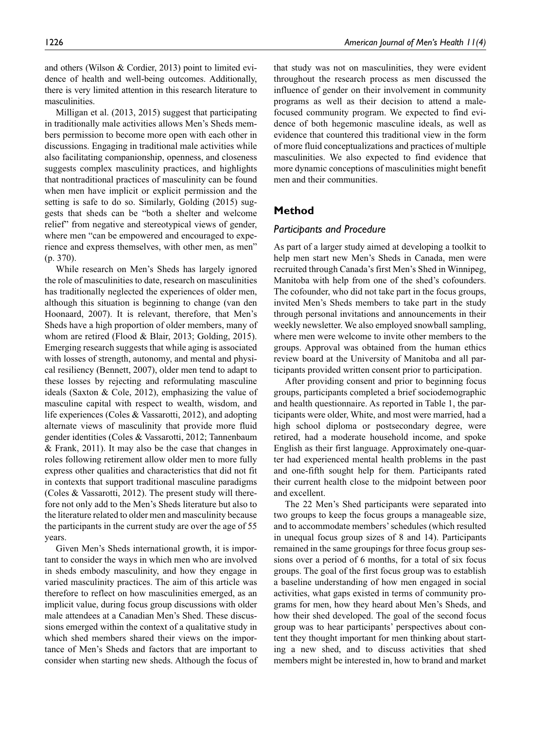and others (Wilson & Cordier, 2013) point to limited evidence of health and well-being outcomes. Additionally, there is very limited attention in this research literature to masculinities.

Milligan et al. (2013, 2015) suggest that participating in traditionally male activities allows Men's Sheds members permission to become more open with each other in discussions. Engaging in traditional male activities while also facilitating companionship, openness, and closeness suggests complex masculinity practices, and highlights that nontraditional practices of masculinity can be found when men have implicit or explicit permission and the setting is safe to do so. Similarly, Golding (2015) suggests that sheds can be "both a shelter and welcome relief" from negative and stereotypical views of gender, where men "can be empowered and encouraged to experience and express themselves, with other men, as men" (p. 370).

While research on Men's Sheds has largely ignored the role of masculinities to date, research on masculinities has traditionally neglected the experiences of older men, although this situation is beginning to change (van den Hoonaard, 2007). It is relevant, therefore, that Men's Sheds have a high proportion of older members, many of whom are retired (Flood & Blair, 2013; Golding, 2015). Emerging research suggests that while aging is associated with losses of strength, autonomy, and mental and physical resiliency (Bennett, 2007), older men tend to adapt to these losses by rejecting and reformulating masculine ideals (Saxton & Cole, 2012), emphasizing the value of masculine capital with respect to wealth, wisdom, and life experiences (Coles & Vassarotti, 2012), and adopting alternate views of masculinity that provide more fluid gender identities (Coles & Vassarotti, 2012; Tannenbaum & Frank, 2011). It may also be the case that changes in roles following retirement allow older men to more fully express other qualities and characteristics that did not fit in contexts that support traditional masculine paradigms (Coles & Vassarotti, 2012). The present study will therefore not only add to the Men's Sheds literature but also to the literature related to older men and masculinity because the participants in the current study are over the age of 55 years.

Given Men's Sheds international growth, it is important to consider the ways in which men who are involved in sheds embody masculinity, and how they engage in varied masculinity practices. The aim of this article was therefore to reflect on how masculinities emerged, as an implicit value, during focus group discussions with older male attendees at a Canadian Men's Shed. These discussions emerged within the context of a qualitative study in which shed members shared their views on the importance of Men's Sheds and factors that are important to consider when starting new sheds. Although the focus of that study was not on masculinities, they were evident throughout the research process as men discussed the influence of gender on their involvement in community programs as well as their decision to attend a malefocused community program. We expected to find evidence of both hegemonic masculine ideals, as well as evidence that countered this traditional view in the form of more fluid conceptualizations and practices of multiple masculinities. We also expected to find evidence that more dynamic conceptions of masculinities might benefit men and their communities.

## **Method**

## *Participants and Procedure*

As part of a larger study aimed at developing a toolkit to help men start new Men's Sheds in Canada, men were recruited through Canada's first Men's Shed in Winnipeg, Manitoba with help from one of the shed's cofounders. The cofounder, who did not take part in the focus groups, invited Men's Sheds members to take part in the study through personal invitations and announcements in their weekly newsletter. We also employed snowball sampling, where men were welcome to invite other members to the groups. Approval was obtained from the human ethics review board at the University of Manitoba and all participants provided written consent prior to participation.

After providing consent and prior to beginning focus groups, participants completed a brief sociodemographic and health questionnaire. As reported in Table 1, the participants were older, White, and most were married, had a high school diploma or postsecondary degree, were retired, had a moderate household income, and spoke English as their first language. Approximately one-quarter had experienced mental health problems in the past and one-fifth sought help for them. Participants rated their current health close to the midpoint between poor and excellent.

The 22 Men's Shed participants were separated into two groups to keep the focus groups a manageable size, and to accommodate members' schedules (which resulted in unequal focus group sizes of 8 and 14). Participants remained in the same groupings for three focus group sessions over a period of 6 months, for a total of six focus groups. The goal of the first focus group was to establish a baseline understanding of how men engaged in social activities, what gaps existed in terms of community programs for men, how they heard about Men's Sheds, and how their shed developed. The goal of the second focus group was to hear participants' perspectives about content they thought important for men thinking about starting a new shed, and to discuss activities that shed members might be interested in, how to brand and market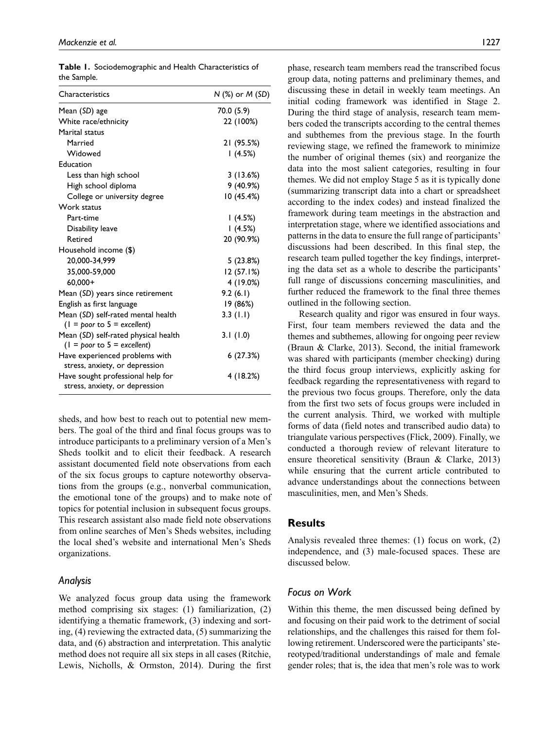| Characteristics                                                       | N (%) or <i>M</i> (SD) |  |
|-----------------------------------------------------------------------|------------------------|--|
| Mean (SD) age                                                         | 70.0 (5.9)             |  |
| White race/ethnicity                                                  | 22 (100%)              |  |
| Marital status                                                        |                        |  |
| Married                                                               | 21 (95.5%)             |  |
| Widowed                                                               | (4.5%)                 |  |
| Education                                                             |                        |  |
| Less than high school                                                 | 3(13.6%)               |  |
| High school diploma                                                   | 9(40.9%)               |  |
| College or university degree                                          | 10 (45.4%)             |  |
| Work status                                                           |                        |  |
| Part-time                                                             | (4.5%)                 |  |
| Disability leave                                                      | (4.5%)                 |  |
| Retired                                                               | 20 (90.9%)             |  |
| Household income (\$)                                                 |                        |  |
| 20,000-34,999                                                         | 5(23.8%)               |  |
| 35.000-59.000                                                         | 12 (57.1%)             |  |
| $60,000+$                                                             | 4 (19.0%)              |  |
| Mean (SD) years since retirement                                      | 9.2(6.1)               |  |
| English as first language                                             | 19 (86%)               |  |
| Mean (SD) self-rated mental health<br>$(1 = poor to 5 = excellent)$   | 3.3(1.1)               |  |
| Mean (SD) self-rated physical health<br>$(1 =$ poor to 5 = excellent) | 3.1(1.0)               |  |
| Have experienced problems with<br>stress, anxiety, or depression      | 6(27.3%)               |  |
| Have sought professional help for<br>stress, anxiety, or depression   | 4 (18.2%)              |  |

**Table 1.** Sociodemographic and Health Characteristics of the Sample.

sheds, and how best to reach out to potential new members. The goal of the third and final focus groups was to introduce participants to a preliminary version of a Men's Sheds toolkit and to elicit their feedback. A research assistant documented field note observations from each of the six focus groups to capture noteworthy observations from the groups (e.g., nonverbal communication, the emotional tone of the groups) and to make note of topics for potential inclusion in subsequent focus groups. This research assistant also made field note observations from online searches of Men's Sheds websites, including the local shed's website and international Men's Sheds organizations.

### *Analysis*

We analyzed focus group data using the framework method comprising six stages: (1) familiarization, (2) identifying a thematic framework, (3) indexing and sorting, (4) reviewing the extracted data, (5) summarizing the data, and (6) abstraction and interpretation. This analytic method does not require all six steps in all cases (Ritchie, Lewis, Nicholls, & Ormston, 2014). During the first

phase, research team members read the transcribed focus group data, noting patterns and preliminary themes, and discussing these in detail in weekly team meetings. An initial coding framework was identified in Stage 2. During the third stage of analysis, research team members coded the transcripts according to the central themes and subthemes from the previous stage. In the fourth reviewing stage, we refined the framework to minimize the number of original themes (six) and reorganize the data into the most salient categories, resulting in four themes. We did not employ Stage 5 as it is typically done (summarizing transcript data into a chart or spreadsheet according to the index codes) and instead finalized the framework during team meetings in the abstraction and interpretation stage, where we identified associations and patterns in the data to ensure the full range of participants' discussions had been described. In this final step, the research team pulled together the key findings, interpreting the data set as a whole to describe the participants' full range of discussions concerning masculinities, and further reduced the framework to the final three themes outlined in the following section.

Research quality and rigor was ensured in four ways. First, four team members reviewed the data and the themes and subthemes, allowing for ongoing peer review (Braun & Clarke, 2013). Second, the initial framework was shared with participants (member checking) during the third focus group interviews, explicitly asking for feedback regarding the representativeness with regard to the previous two focus groups. Therefore, only the data from the first two sets of focus groups were included in the current analysis. Third, we worked with multiple forms of data (field notes and transcribed audio data) to triangulate various perspectives (Flick, 2009). Finally, we conducted a thorough review of relevant literature to ensure theoretical sensitivity (Braun & Clarke, 2013) while ensuring that the current article contributed to advance understandings about the connections between masculinities, men, and Men's Sheds.

### **Results**

Analysis revealed three themes: (1) focus on work, (2) independence, and (3) male-focused spaces. These are discussed below.

# *Focus on Work*

Within this theme, the men discussed being defined by and focusing on their paid work to the detriment of social relationships, and the challenges this raised for them following retirement. Underscored were the participants' stereotyped/traditional understandings of male and female gender roles; that is, the idea that men's role was to work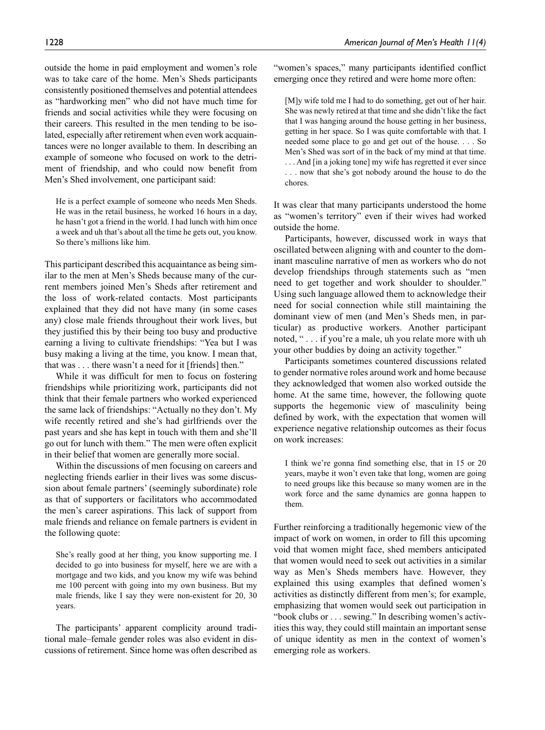outside the home in paid employment and women's role was to take care of the home. Men's Sheds participants consistently positioned themselves and potential attendees as "hardworking men" who did not have much time for friends and social activities while they were focusing on their careers. This resulted in the men tending to be isolated, especially after retirement when even work acquaintances were no longer available to them. In describing an example of someone who focused on work to the detriment of friendship, and who could now benefit from Men's Shed involvement, one participant said:

He is a perfect example of someone who needs Men Sheds. He was in the retail business, he worked 16 hours in a day, he hasn't got a friend in the world. I had lunch with him once a week and uh that's about all the time he gets out, you know. So there's millions like him.

This participant described this acquaintance as being similar to the men at Men's Sheds because many of the current members joined Men's Sheds after retirement and the loss of work-related contacts. Most participants explained that they did not have many (in some cases any) close male friends throughout their work lives, but they justified this by their being too busy and productive earning a living to cultivate friendships: "Yea but I was busy making a living at the time, you know. I mean that, that was . . . there wasn't a need for it [friends] then."

While it was difficult for men to focus on fostering friendships while prioritizing work, participants did not think that their female partners who worked experienced the same lack of friendships: "Actually no they don't. My wife recently retired and she's had girlfriends over the past years and she has kept in touch with them and she'll go out for lunch with them." The men were often explicit in their belief that women are generally more social.

Within the discussions of men focusing on careers and neglecting friends earlier in their lives was some discussion about female partners' (seemingly subordinate) role as that of supporters or facilitators who accommodated the men's career aspirations. This lack of support from male friends and reliance on female partners is evident in the following quote:

She's really good at her thing, you know supporting me. I decided to go into business for myself, here we are with a mortgage and two kids, and you know my wife was behind me 100 percent with going into my own business. But my male friends, like I say they were non-existent for 20, 30 years.

The participants' apparent complicity around traditional male–female gender roles was also evident in discussions of retirement. Since home was often described as "women's spaces," many participants identified conflict emerging once they retired and were home more often:

[M]y wife told me I had to do something, get out of her hair. She was newly retired at that time and she didn't like the fact that I was hanging around the house getting in her business, getting in her space. So I was quite comfortable with that. I needed some place to go and get out of the house. . . . So Men's Shed was sort of in the back of my mind at that time. . . . And [in a joking tone] my wife has regretted it ever since . . . now that she's got nobody around the house to do the chores.

It was clear that many participants understood the home as "women's territory" even if their wives had worked outside the home.

Participants, however, discussed work in ways that oscillated between aligning with and counter to the dominant masculine narrative of men as workers who do not develop friendships through statements such as "men need to get together and work shoulder to shoulder." Using such language allowed them to acknowledge their need for social connection while still maintaining the dominant view of men (and Men's Sheds men, in particular) as productive workers. Another participant noted, " . . . if you're a male, uh you relate more with uh your other buddies by doing an activity together."

Participants sometimes countered discussions related to gender normative roles around work and home because they acknowledged that women also worked outside the home. At the same time, however, the following quote supports the hegemonic view of masculinity being defined by work, with the expectation that women will experience negative relationship outcomes as their focus on work increases:

I think we're gonna find something else, that in 15 or 20 years, maybe it won't even take that long, women are going to need groups like this because so many women are in the work force and the same dynamics are gonna happen to them.

Further reinforcing a traditionally hegemonic view of the impact of work on women, in order to fill this upcoming void that women might face, shed members anticipated that women would need to seek out activities in a similar way as Men's Sheds members have. However, they explained this using examples that defined women's activities as distinctly different from men's; for example, emphasizing that women would seek out participation in "book clubs or . . . sewing." In describing women's activities this way, they could still maintain an important sense of unique identity as men in the context of women's emerging role as workers.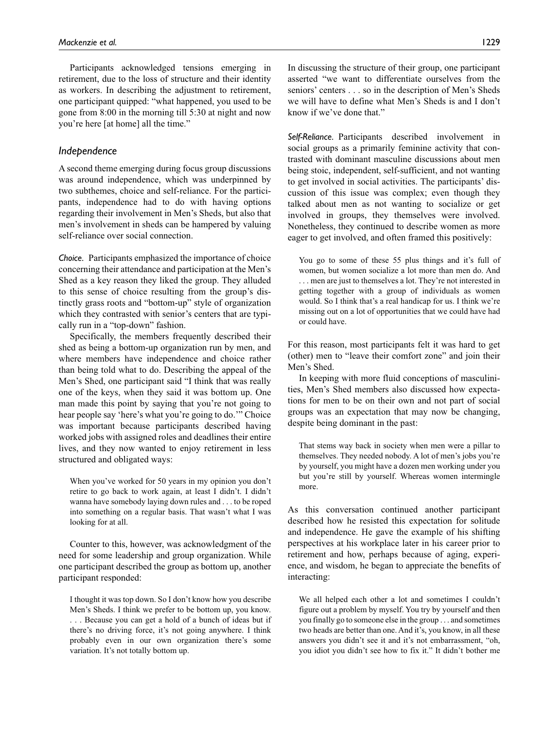Participants acknowledged tensions emerging in retirement, due to the loss of structure and their identity as workers. In describing the adjustment to retirement, one participant quipped: "what happened, you used to be gone from 8:00 in the morning till 5:30 at night and now you're here [at home] all the time."

### *Independence*

A second theme emerging during focus group discussions was around independence, which was underpinned by two subthemes, choice and self-reliance. For the participants, independence had to do with having options regarding their involvement in Men's Sheds, but also that men's involvement in sheds can be hampered by valuing self-reliance over social connection.

*Choice.* Participants emphasized the importance of choice concerning their attendance and participation at the Men's Shed as a key reason they liked the group. They alluded to this sense of choice resulting from the group's distinctly grass roots and "bottom-up" style of organization which they contrasted with senior's centers that are typically run in a "top-down" fashion.

Specifically, the members frequently described their shed as being a bottom-up organization run by men, and where members have independence and choice rather than being told what to do. Describing the appeal of the Men's Shed, one participant said "I think that was really one of the keys, when they said it was bottom up. One man made this point by saying that you're not going to hear people say 'here's what you're going to do.'" Choice was important because participants described having worked jobs with assigned roles and deadlines their entire lives, and they now wanted to enjoy retirement in less structured and obligated ways:

When you've worked for 50 years in my opinion you don't retire to go back to work again, at least I didn't. I didn't wanna have somebody laying down rules and . . . to be roped into something on a regular basis. That wasn't what I was looking for at all.

Counter to this, however, was acknowledgment of the need for some leadership and group organization. While one participant described the group as bottom up, another participant responded:

I thought it was top down. So I don't know how you describe Men's Sheds. I think we prefer to be bottom up, you know. . . . Because you can get a hold of a bunch of ideas but if there's no driving force, it's not going anywhere. I think probably even in our own organization there's some variation. It's not totally bottom up.

In discussing the structure of their group, one participant asserted "we want to differentiate ourselves from the seniors' centers . . . so in the description of Men's Sheds we will have to define what Men's Sheds is and I don't know if we've done that."

*Self-Reliance.* Participants described involvement in social groups as a primarily feminine activity that contrasted with dominant masculine discussions about men being stoic, independent, self-sufficient, and not wanting to get involved in social activities. The participants' discussion of this issue was complex; even though they talked about men as not wanting to socialize or get involved in groups, they themselves were involved. Nonetheless, they continued to describe women as more eager to get involved, and often framed this positively:

You go to some of these 55 plus things and it's full of women, but women socialize a lot more than men do. And . . . men are just to themselves a lot. They're not interested in getting together with a group of individuals as women would. So I think that's a real handicap for us. I think we're missing out on a lot of opportunities that we could have had or could have.

For this reason, most participants felt it was hard to get (other) men to "leave their comfort zone" and join their Men's Shed.

In keeping with more fluid conceptions of masculinities, Men's Shed members also discussed how expectations for men to be on their own and not part of social groups was an expectation that may now be changing, despite being dominant in the past:

That stems way back in society when men were a pillar to themselves. They needed nobody. A lot of men's jobs you're by yourself, you might have a dozen men working under you but you're still by yourself. Whereas women intermingle more.

As this conversation continued another participant described how he resisted this expectation for solitude and independence. He gave the example of his shifting perspectives at his workplace later in his career prior to retirement and how, perhaps because of aging, experience, and wisdom, he began to appreciate the benefits of interacting:

We all helped each other a lot and sometimes I couldn't figure out a problem by myself. You try by yourself and then you finally go to someone else in the group . . . and sometimes two heads are better than one. And it's, you know, in all these answers you didn't see it and it's not embarrassment, "oh, you idiot you didn't see how to fix it." It didn't bother me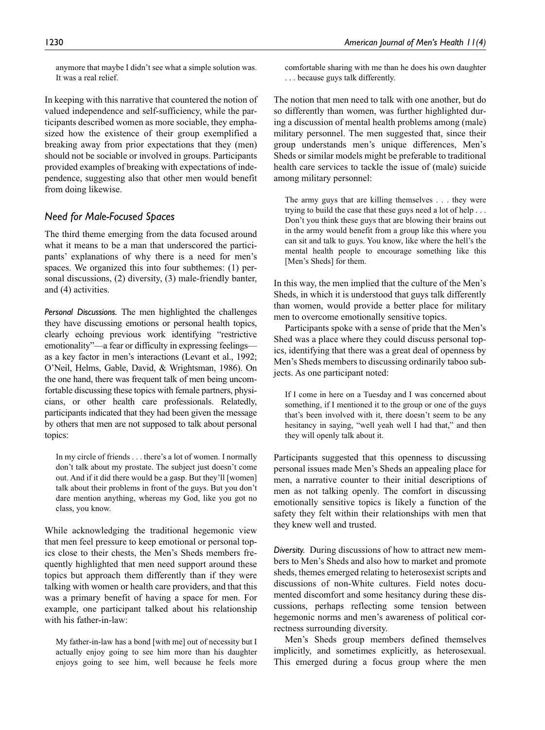anymore that maybe I didn't see what a simple solution was. It was a real relief.

In keeping with this narrative that countered the notion of valued independence and self-sufficiency, while the participants described women as more sociable, they emphasized how the existence of their group exemplified a breaking away from prior expectations that they (men) should not be sociable or involved in groups. Participants provided examples of breaking with expectations of independence, suggesting also that other men would benefit from doing likewise.

# *Need for Male-Focused Spaces*

The third theme emerging from the data focused around what it means to be a man that underscored the participants' explanations of why there is a need for men's spaces. We organized this into four subthemes: (1) personal discussions, (2) diversity, (3) male-friendly banter, and (4) activities.

*Personal Discussions.* The men highlighted the challenges they have discussing emotions or personal health topics, clearly echoing previous work identifying "restrictive emotionality"—a fear or difficulty in expressing feelings as a key factor in men's interactions (Levant et al., 1992; O'Neil, Helms, Gable, David, & Wrightsman, 1986). On the one hand, there was frequent talk of men being uncomfortable discussing these topics with female partners, physicians, or other health care professionals. Relatedly, participants indicated that they had been given the message by others that men are not supposed to talk about personal topics:

In my circle of friends . . . there's a lot of women. I normally don't talk about my prostate. The subject just doesn't come out. And if it did there would be a gasp. But they'll [women] talk about their problems in front of the guys. But you don't dare mention anything, whereas my God, like you got no class, you know.

While acknowledging the traditional hegemonic view that men feel pressure to keep emotional or personal topics close to their chests, the Men's Sheds members frequently highlighted that men need support around these topics but approach them differently than if they were talking with women or health care providers, and that this was a primary benefit of having a space for men. For example, one participant talked about his relationship with his father-in-law:

My father-in-law has a bond [with me] out of necessity but I actually enjoy going to see him more than his daughter enjoys going to see him, well because he feels more comfortable sharing with me than he does his own daughter . . . because guys talk differently.

The notion that men need to talk with one another, but do so differently than women, was further highlighted during a discussion of mental health problems among (male) military personnel. The men suggested that, since their group understands men's unique differences, Men's Sheds or similar models might be preferable to traditional health care services to tackle the issue of (male) suicide among military personnel:

The army guys that are killing themselves . . . they were trying to build the case that these guys need a lot of help . . . Don't you think these guys that are blowing their brains out in the army would benefit from a group like this where you can sit and talk to guys. You know, like where the hell's the mental health people to encourage something like this [Men's Sheds] for them.

In this way, the men implied that the culture of the Men's Sheds, in which it is understood that guys talk differently than women, would provide a better place for military men to overcome emotionally sensitive topics.

Participants spoke with a sense of pride that the Men's Shed was a place where they could discuss personal topics, identifying that there was a great deal of openness by Men's Sheds members to discussing ordinarily taboo subjects. As one participant noted:

If I come in here on a Tuesday and I was concerned about something, if I mentioned it to the group or one of the guys that's been involved with it, there doesn't seem to be any hesitancy in saying, "well yeah well I had that," and then they will openly talk about it.

Participants suggested that this openness to discussing personal issues made Men's Sheds an appealing place for men, a narrative counter to their initial descriptions of men as not talking openly. The comfort in discussing emotionally sensitive topics is likely a function of the safety they felt within their relationships with men that they knew well and trusted.

*Diversity.* During discussions of how to attract new members to Men's Sheds and also how to market and promote sheds, themes emerged relating to heterosexist scripts and discussions of non-White cultures. Field notes documented discomfort and some hesitancy during these discussions, perhaps reflecting some tension between hegemonic norms and men's awareness of political correctness surrounding diversity.

Men's Sheds group members defined themselves implicitly, and sometimes explicitly, as heterosexual. This emerged during a focus group where the men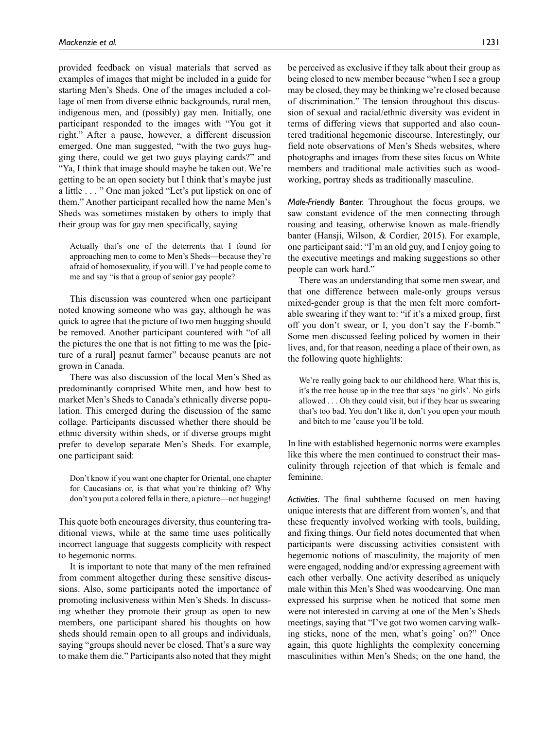provided feedback on visual materials that served as examples of images that might be included in a guide for starting Men's Sheds. One of the images included a collage of men from diverse ethnic backgrounds, rural men, indigenous men, and (possibly) gay men. Initially, one participant responded to the images with "You got it right." After a pause, however, a different discussion emerged. One man suggested, "with the two guys hugging there, could we get two guys playing cards?" and "Ya, I think that image should maybe be taken out. We're getting to be an open society but I think that's maybe just a little . . . " One man joked "Let's put lipstick on one of them." Another participant recalled how the name Men's Sheds was sometimes mistaken by others to imply that their group was for gay men specifically, saying

Actually that's one of the deterrents that I found for approaching men to come to Men's Sheds—because they're afraid of homosexuality, if you will. I've had people come to me and say "is that a group of senior gay people?

This discussion was countered when one participant noted knowing someone who was gay, although he was quick to agree that the picture of two men hugging should be removed. Another participant countered with "of all the pictures the one that is not fitting to me was the [picture of a rural] peanut farmer" because peanuts are not grown in Canada.

There was also discussion of the local Men's Shed as predominantly comprised White men, and how best to market Men's Sheds to Canada's ethnically diverse population. This emerged during the discussion of the same collage. Participants discussed whether there should be ethnic diversity within sheds, or if diverse groups might prefer to develop separate Men's Sheds. For example, one participant said:

Don't know if you want one chapter for Oriental, one chapter for Caucasians or, is that what you're thinking of? Why don't you put a colored fella in there, a picture—not hugging!

This quote both encourages diversity, thus countering traditional views, while at the same time uses politically incorrect language that suggests complicity with respect to hegemonic norms.

It is important to note that many of the men refrained from comment altogether during these sensitive discussions. Also, some participants noted the importance of promoting inclusiveness within Men's Sheds. In discussing whether they promote their group as open to new members, one participant shared his thoughts on how sheds should remain open to all groups and individuals, saying "groups should never be closed. That's a sure way to make them die." Participants also noted that they might be perceived as exclusive if they talk about their group as being closed to new member because "when I see a group may be closed, they may be thinking we're closed because of discrimination." The tension throughout this discussion of sexual and racial/ethnic diversity was evident in terms of differing views that supported and also countered traditional hegemonic discourse. Interestingly, our field note observations of Men's Sheds websites, where photographs and images from these sites focus on White members and traditional male activities such as woodworking, portray sheds as traditionally masculine.

*Male-Friendly Banter.* Throughout the focus groups, we saw constant evidence of the men connecting through rousing and teasing, otherwise known as male-friendly banter (Hansji, Wilson, & Cordier, 2015). For example, one participant said: "I'm an old guy, and I enjoy going to the executive meetings and making suggestions so other people can work hard."

There was an understanding that some men swear, and that one difference between male-only groups versus mixed-gender group is that the men felt more comfortable swearing if they want to: "if it's a mixed group, first off you don't swear, or I, you don't say the F-bomb." Some men discussed feeling policed by women in their lives, and, for that reason, needing a place of their own, as the following quote highlights:

We're really going back to our childhood here. What this is, it's the tree house up in the tree that says 'no girls'. No girls allowed . . . Oh they could visit, but if they hear us swearing that's too bad. You don't like it, don't you open your mouth and bitch to me 'cause you'll be told.

In line with established hegemonic norms were examples like this where the men continued to construct their masculinity through rejection of that which is female and feminine.

*Activities.* The final subtheme focused on men having unique interests that are different from women's, and that these frequently involved working with tools, building, and fixing things. Our field notes documented that when participants were discussing activities consistent with hegemonic notions of masculinity, the majority of men were engaged, nodding and/or expressing agreement with each other verbally. One activity described as uniquely male within this Men's Shed was woodcarving. One man expressed his surprise when he noticed that some men were not interested in carving at one of the Men's Sheds meetings, saying that "I've got two women carving walking sticks, none of the men, what's going' on?" Once again, this quote highlights the complexity concerning masculinities within Men's Sheds; on the one hand, the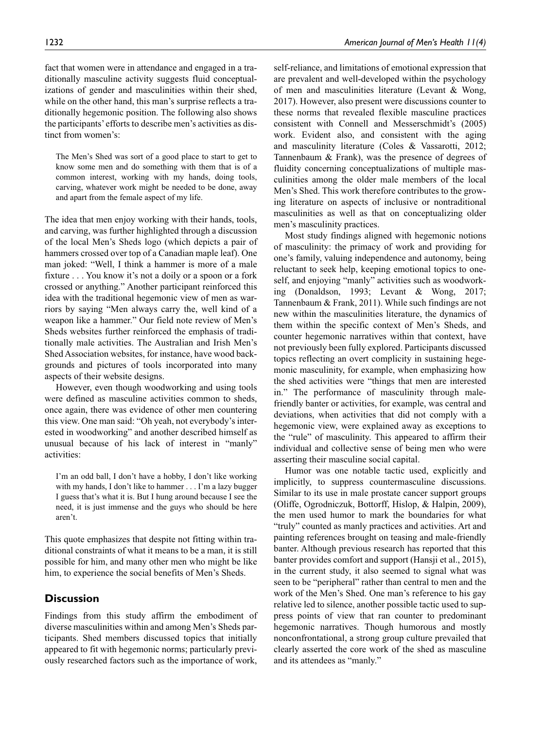fact that women were in attendance and engaged in a traditionally masculine activity suggests fluid conceptualizations of gender and masculinities within their shed, while on the other hand, this man's surprise reflects a traditionally hegemonic position. The following also shows the participants' efforts to describe men's activities as distinct from women's:

The Men's Shed was sort of a good place to start to get to know some men and do something with them that is of a common interest, working with my hands, doing tools, carving, whatever work might be needed to be done, away and apart from the female aspect of my life.

The idea that men enjoy working with their hands, tools, and carving, was further highlighted through a discussion of the local Men's Sheds logo (which depicts a pair of hammers crossed over top of a Canadian maple leaf). One man joked: "Well, I think a hammer is more of a male fixture . . . You know it's not a doily or a spoon or a fork crossed or anything." Another participant reinforced this idea with the traditional hegemonic view of men as warriors by saying "Men always carry the, well kind of a weapon like a hammer." Our field note review of Men's Sheds websites further reinforced the emphasis of traditionally male activities. The Australian and Irish Men's Shed Association websites, for instance, have wood backgrounds and pictures of tools incorporated into many aspects of their website designs.

However, even though woodworking and using tools were defined as masculine activities common to sheds, once again, there was evidence of other men countering this view. One man said: "Oh yeah, not everybody's interested in woodworking" and another described himself as unusual because of his lack of interest in "manly" activities:

I'm an odd ball, I don't have a hobby, I don't like working with my hands, I don't like to hammer . . . I'm a lazy bugger I guess that's what it is. But I hung around because I see the need, it is just immense and the guys who should be here aren't.

This quote emphasizes that despite not fitting within traditional constraints of what it means to be a man, it is still possible for him, and many other men who might be like him, to experience the social benefits of Men's Sheds.

# **Discussion**

Findings from this study affirm the embodiment of diverse masculinities within and among Men's Sheds participants. Shed members discussed topics that initially appeared to fit with hegemonic norms; particularly previously researched factors such as the importance of work, self-reliance, and limitations of emotional expression that are prevalent and well-developed within the psychology of men and masculinities literature (Levant & Wong, 2017). However, also present were discussions counter to these norms that revealed flexible masculine practices consistent with Connell and Messerschmidt's (2005) work. Evident also, and consistent with the aging and masculinity literature (Coles & Vassarotti, 2012; Tannenbaum & Frank), was the presence of degrees of fluidity concerning conceptualizations of multiple masculinities among the older male members of the local Men's Shed. This work therefore contributes to the growing literature on aspects of inclusive or nontraditional masculinities as well as that on conceptualizing older men's masculinity practices.

Most study findings aligned with hegemonic notions of masculinity: the primacy of work and providing for one's family, valuing independence and autonomy, being reluctant to seek help, keeping emotional topics to oneself, and enjoying "manly" activities such as woodworking (Donaldson, 1993; Levant & Wong, 2017; Tannenbaum & Frank, 2011). While such findings are not new within the masculinities literature, the dynamics of them within the specific context of Men's Sheds, and counter hegemonic narratives within that context, have not previously been fully explored. Participants discussed topics reflecting an overt complicity in sustaining hegemonic masculinity, for example, when emphasizing how the shed activities were "things that men are interested in." The performance of masculinity through malefriendly banter or activities, for example, was central and deviations, when activities that did not comply with a hegemonic view, were explained away as exceptions to the "rule" of masculinity. This appeared to affirm their individual and collective sense of being men who were asserting their masculine social capital.

Humor was one notable tactic used, explicitly and implicitly, to suppress countermasculine discussions. Similar to its use in male prostate cancer support groups (Oliffe, Ogrodniczuk, Bottorff, Hislop, & Halpin, 2009), the men used humor to mark the boundaries for what "truly" counted as manly practices and activities. Art and painting references brought on teasing and male-friendly banter. Although previous research has reported that this banter provides comfort and support (Hansji et al., 2015), in the current study, it also seemed to signal what was seen to be "peripheral" rather than central to men and the work of the Men's Shed. One man's reference to his gay relative led to silence, another possible tactic used to suppress points of view that ran counter to predominant hegemonic narratives. Though humorous and mostly nonconfrontational, a strong group culture prevailed that clearly asserted the core work of the shed as masculine and its attendees as "manly."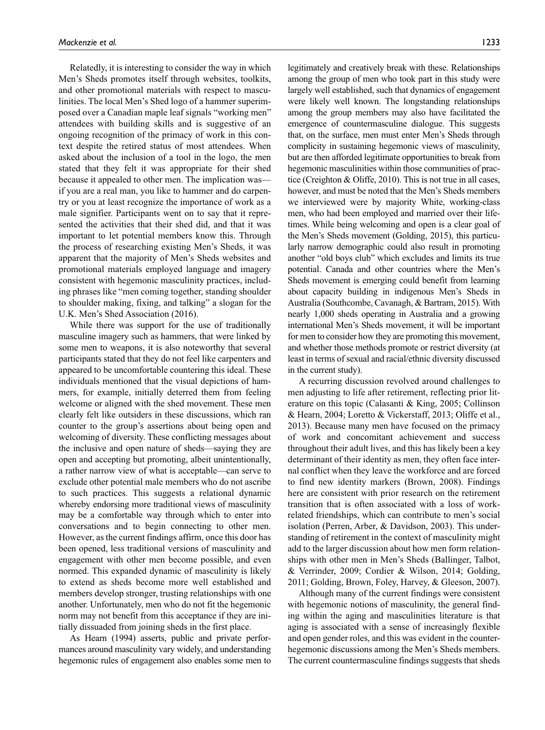Relatedly, it is interesting to consider the way in which Men's Sheds promotes itself through websites, toolkits, and other promotional materials with respect to masculinities. The local Men's Shed logo of a hammer superimposed over a Canadian maple leaf signals "working men" attendees with building skills and is suggestive of an ongoing recognition of the primacy of work in this context despite the retired status of most attendees. When asked about the inclusion of a tool in the logo, the men stated that they felt it was appropriate for their shed because it appealed to other men. The implication was if you are a real man, you like to hammer and do carpentry or you at least recognize the importance of work as a male signifier. Participants went on to say that it represented the activities that their shed did, and that it was important to let potential members know this. Through the process of researching existing Men's Sheds, it was apparent that the majority of Men's Sheds websites and promotional materials employed language and imagery consistent with hegemonic masculinity practices, including phrases like "men coming together, standing shoulder to shoulder making, fixing, and talking" a slogan for the U.K. Men's Shed Association (2016).

While there was support for the use of traditionally masculine imagery such as hammers, that were linked by some men to weapons, it is also noteworthy that several participants stated that they do not feel like carpenters and appeared to be uncomfortable countering this ideal. These individuals mentioned that the visual depictions of hammers, for example, initially deterred them from feeling welcome or aligned with the shed movement. These men clearly felt like outsiders in these discussions, which ran counter to the group's assertions about being open and welcoming of diversity. These conflicting messages about the inclusive and open nature of sheds—saying they are open and accepting but promoting, albeit unintentionally, a rather narrow view of what is acceptable—can serve to exclude other potential male members who do not ascribe to such practices. This suggests a relational dynamic whereby endorsing more traditional views of masculinity may be a comfortable way through which to enter into conversations and to begin connecting to other men. However, as the current findings affirm, once this door has been opened, less traditional versions of masculinity and engagement with other men become possible, and even normed. This expanded dynamic of masculinity is likely to extend as sheds become more well established and members develop stronger, trusting relationships with one another. Unfortunately, men who do not fit the hegemonic norm may not benefit from this acceptance if they are initially dissuaded from joining sheds in the first place.

As Hearn (1994) asserts, public and private performances around masculinity vary widely, and understanding hegemonic rules of engagement also enables some men to legitimately and creatively break with these. Relationships among the group of men who took part in this study were largely well established, such that dynamics of engagement were likely well known. The longstanding relationships among the group members may also have facilitated the emergence of countermasculine dialogue. This suggests that, on the surface, men must enter Men's Sheds through complicity in sustaining hegemonic views of masculinity, but are then afforded legitimate opportunities to break from hegemonic masculinities within those communities of practice (Creighton & Oliffe, 2010). This is not true in all cases, however, and must be noted that the Men's Sheds members we interviewed were by majority White, working-class men, who had been employed and married over their lifetimes. While being welcoming and open is a clear goal of the Men's Sheds movement (Golding, 2015), this particularly narrow demographic could also result in promoting another "old boys club" which excludes and limits its true potential. Canada and other countries where the Men's Sheds movement is emerging could benefit from learning about capacity building in indigenous Men's Sheds in Australia (Southcombe, Cavanagh, & Bartram, 2015). With nearly 1,000 sheds operating in Australia and a growing international Men's Sheds movement, it will be important for men to consider how they are promoting this movement, and whether those methods promote or restrict diversity (at least in terms of sexual and racial/ethnic diversity discussed in the current study).

A recurring discussion revolved around challenges to men adjusting to life after retirement, reflecting prior literature on this topic (Calasanti & King, 2005; Collinson & Hearn, 2004; Loretto & Vickerstaff, 2013; Oliffe et al., 2013). Because many men have focused on the primacy of work and concomitant achievement and success throughout their adult lives, and this has likely been a key determinant of their identity as men, they often face internal conflict when they leave the workforce and are forced to find new identity markers (Brown, 2008). Findings here are consistent with prior research on the retirement transition that is often associated with a loss of workrelated friendships, which can contribute to men's social isolation (Perren, Arber, & Davidson, 2003). This understanding of retirement in the context of masculinity might add to the larger discussion about how men form relationships with other men in Men's Sheds (Ballinger, Talbot, & Verrinder, 2009; Cordier & Wilson, 2014; Golding, 2011; Golding, Brown, Foley, Harvey, & Gleeson, 2007).

Although many of the current findings were consistent with hegemonic notions of masculinity, the general finding within the aging and masculinities literature is that aging is associated with a sense of increasingly flexible and open gender roles, and this was evident in the counterhegemonic discussions among the Men's Sheds members. The current countermasculine findings suggests that sheds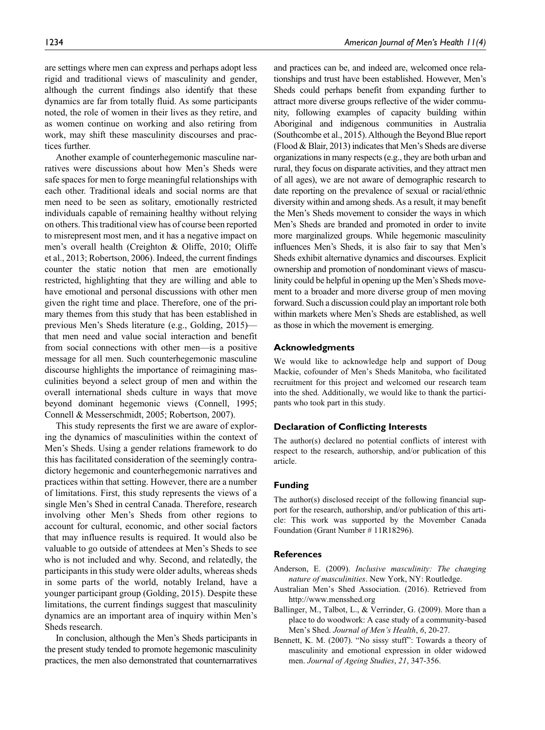are settings where men can express and perhaps adopt less rigid and traditional views of masculinity and gender, although the current findings also identify that these dynamics are far from totally fluid. As some participants noted, the role of women in their lives as they retire, and as women continue on working and also retiring from work, may shift these masculinity discourses and practices further.

Another example of counterhegemonic masculine narratives were discussions about how Men's Sheds were safe spaces for men to forge meaningful relationships with each other. Traditional ideals and social norms are that men need to be seen as solitary, emotionally restricted individuals capable of remaining healthy without relying on others. This traditional view has of course been reported to misrepresent most men, and it has a negative impact on men's overall health (Creighton & Oliffe, 2010; Oliffe et al., 2013; Robertson, 2006). Indeed, the current findings counter the static notion that men are emotionally restricted, highlighting that they are willing and able to have emotional and personal discussions with other men given the right time and place. Therefore, one of the primary themes from this study that has been established in previous Men's Sheds literature (e.g., Golding, 2015) that men need and value social interaction and benefit from social connections with other men—is a positive message for all men. Such counterhegemonic masculine discourse highlights the importance of reimagining masculinities beyond a select group of men and within the overall international sheds culture in ways that move beyond dominant hegemonic views (Connell, 1995; Connell & Messerschmidt, 2005; Robertson, 2007).

This study represents the first we are aware of exploring the dynamics of masculinities within the context of Men's Sheds. Using a gender relations framework to do this has facilitated consideration of the seemingly contradictory hegemonic and counterhegemonic narratives and practices within that setting. However, there are a number of limitations. First, this study represents the views of a single Men's Shed in central Canada. Therefore, research involving other Men's Sheds from other regions to account for cultural, economic, and other social factors that may influence results is required. It would also be valuable to go outside of attendees at Men's Sheds to see who is not included and why. Second, and relatedly, the participants in this study were older adults, whereas sheds in some parts of the world, notably Ireland, have a younger participant group (Golding, 2015). Despite these limitations, the current findings suggest that masculinity dynamics are an important area of inquiry within Men's Sheds research.

In conclusion, although the Men's Sheds participants in the present study tended to promote hegemonic masculinity practices, the men also demonstrated that counternarratives and practices can be, and indeed are, welcomed once relationships and trust have been established. However, Men's Sheds could perhaps benefit from expanding further to attract more diverse groups reflective of the wider community, following examples of capacity building within Aboriginal and indigenous communities in Australia (Southcombe et al., 2015). Although the Beyond Blue report (Flood & Blair, 2013) indicates that Men's Sheds are diverse organizations in many respects (e.g., they are both urban and rural, they focus on disparate activities, and they attract men of all ages), we are not aware of demographic research to date reporting on the prevalence of sexual or racial/ethnic diversity within and among sheds. As a result, it may benefit the Men's Sheds movement to consider the ways in which Men's Sheds are branded and promoted in order to invite more marginalized groups. While hegemonic masculinity influences Men's Sheds, it is also fair to say that Men's Sheds exhibit alternative dynamics and discourses. Explicit ownership and promotion of nondominant views of masculinity could be helpful in opening up the Men's Sheds movement to a broader and more diverse group of men moving forward. Such a discussion could play an important role both within markets where Men's Sheds are established, as well as those in which the movement is emerging.

### **Acknowledgments**

We would like to acknowledge help and support of Doug Mackie, cofounder of Men's Sheds Manitoba, who facilitated recruitment for this project and welcomed our research team into the shed. Additionally, we would like to thank the participants who took part in this study.

### **Declaration of Conflicting Interests**

The author(s) declared no potential conflicts of interest with respect to the research, authorship, and/or publication of this article.

### **Funding**

The author(s) disclosed receipt of the following financial support for the research, authorship, and/or publication of this article: This work was supported by the Movember Canada Foundation (Grant Number # 11R18296).

### **References**

- Anderson, E. (2009). *Inclusive masculinity: The changing nature of masculinities*. New York, NY: Routledge.
- Australian Men's Shed Association. (2016). Retrieved from <http://www.mensshed.org>
- Ballinger, M., Talbot, L., & Verrinder, G. (2009). More than a place to do woodwork: A case study of a community-based Men's Shed. *Journal of Men's Health*, *6*, 20-27.
- Bennett, K. M. (2007). "No sissy stuff": Towards a theory of masculinity and emotional expression in older widowed men. *Journal of Ageing Studies*, *21*, 347-356.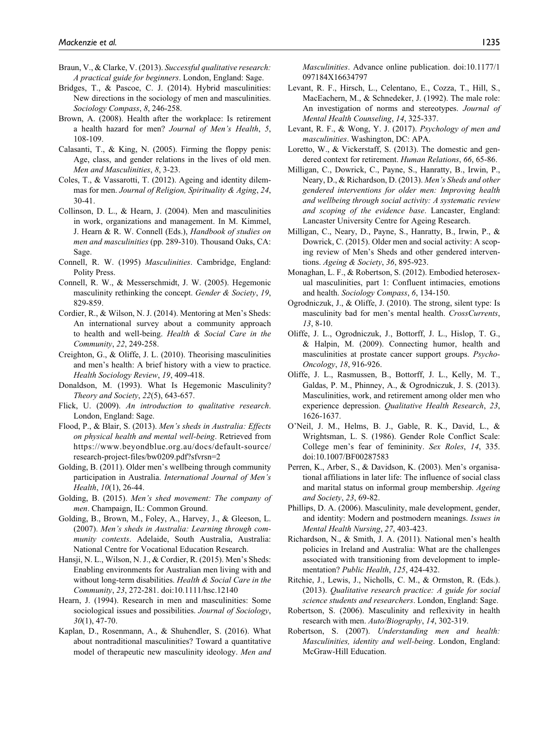- Braun, V., & Clarke, V. (2013). *Successful qualitative research: A practical guide for beginners*. London, England: Sage.
- Bridges, T., & Pascoe, C. J. (2014). Hybrid masculinities: New directions in the sociology of men and masculinities. *Sociology Compass*, *8*, 246-258.
- Brown, A. (2008). Health after the workplace: Is retirement a health hazard for men? *Journal of Men's Health*, *5*, 108-109.
- Calasanti, T., & King, N. (2005). Firming the floppy penis: Age, class, and gender relations in the lives of old men. *Men and Masculinities*, *8*, 3-23.
- Coles, T., & Vassarotti, T. (2012). Ageing and identity dilemmas for men. *Journal of Religion, Spirituality & Aging*, *24*, 30-41.
- Collinson, D. L., & Hearn, J. (2004). Men and masculinities in work, organizations and management. In M. Kimmel, J. Hearn & R. W. Connell (Eds.), *Handbook of studies on men and masculinities* (pp. 289-310). Thousand Oaks, CA: Sage.
- Connell, R. W. (1995) *Masculinities*. Cambridge, England: Polity Press.
- Connell, R. W., & Messerschmidt, J. W. (2005). Hegemonic masculinity rethinking the concept. *Gender & Society*, *19*, 829-859.
- Cordier, R., & Wilson, N. J. (2014). Mentoring at Men's Sheds: An international survey about a community approach to health and well-being. *Health & Social Care in the Community*, *22*, 249-258.
- Creighton, G., & Oliffe, J. L. (2010). Theorising masculinities and men's health: A brief history with a view to practice. *Health Sociology Review*, *19*, 409-418.
- Donaldson, M. (1993). What Is Hegemonic Masculinity? *Theory and Society*, *22*(5), 643-657.
- Flick, U. (2009). *An introduction to qualitative research*. London, England: Sage.
- Flood, P., & Blair, S. (2013). *Men's sheds in Australia: Effects on physical health and mental well-being*. Retrieved from [https://www.beyondblue.org.au/docs/default-source/](https://www.beyondblue.org.au/docs/default-source/research-project-files/bw0209.pdf?sfvrsn=2) [research-project-files/bw0209.pdf?sfvrsn=2](https://www.beyondblue.org.au/docs/default-source/research-project-files/bw0209.pdf?sfvrsn=2)
- Golding, B. (2011). Older men's wellbeing through community participation in Australia. *International Journal of Men's Health*, *10*(1), 26-44.
- Golding, B. (2015). *Men's shed movement: The company of men*. Champaign, IL: Common Ground.
- Golding, B., Brown, M., Foley, A., Harvey, J., & Gleeson, L. (2007). *Men's sheds in Australia: Learning through community contexts*. Adelaide, South Australia, Australia: National Centre for Vocational Education Research.
- Hansji, N. L., Wilson, N. J., & Cordier, R. (2015). Men's Sheds: Enabling environments for Australian men living with and without long-term disabilities. *Health & Social Care in the Community*, *23*, 272-281. doi:10.1111/hsc.12140
- Hearn, J. (1994). Research in men and masculinities: Some sociological issues and possibilities. *Journal of Sociology*, *30*(1), 47-70.
- Kaplan, D., Rosenmann, A., & Shuhendler, S. (2016). What about nontraditional masculinities? Toward a quantitative model of therapeutic new masculinity ideology. *Men and*

*Masculinities*. Advance online publication. doi:10.1177/1 097184X16634797

- Levant, R. F., Hirsch, L., Celentano, E., Cozza, T., Hill, S., MacEachern, M., & Schnedeker, J. (1992). The male role: An investigation of norms and stereotypes. *Journal of Mental Health Counseling*, *14*, 325-337.
- Levant, R. F., & Wong, Y. J. (2017). *Psychology of men and masculinities*. Washington, DC: APA.
- Loretto, W., & Vickerstaff, S. (2013). The domestic and gendered context for retirement. *Human Relations*, *66*, 65-86.
- Milligan, C., Dowrick, C., Payne, S., Hanratty, B., Irwin, P., Neary, D., & Richardson, D. (2013). *Men's Sheds and other gendered interventions for older men: Improving health and wellbeing through social activity: A systematic review and scoping of the evidence base*. Lancaster, England: Lancaster University Centre for Ageing Research.
- Milligan, C., Neary, D., Payne, S., Hanratty, B., Irwin, P., & Dowrick, C. (2015). Older men and social activity: A scoping review of Men's Sheds and other gendered interventions. *Ageing & Society*, *36*, 895-923.
- Monaghan, L. F., & Robertson, S. (2012). Embodied heterosexual masculinities, part 1: Confluent intimacies, emotions and health. *Sociology Compass*, *6*, 134-150.
- Ogrodniczuk, J., & Oliffe, J. (2010). The strong, silent type: Is masculinity bad for men's mental health. *CrossCurrents*, *13*, 8-10.
- Oliffe, J. L., Ogrodniczuk, J., Bottorff, J. L., Hislop, T. G., & Halpin, M. (2009). Connecting humor, health and masculinities at prostate cancer support groups. *Psycho-Oncology*, *18*, 916-926.
- Oliffe, J. L., Rasmussen, B., Bottorff, J. L., Kelly, M. T., Galdas, P. M., Phinney, A., & Ogrodniczuk, J. S. (2013). Masculinities, work, and retirement among older men who experience depression. *Qualitative Health Research*, *23*, 1626-1637.
- O'Neil, J. M., Helms, B. J., Gable, R. K., David, L., & Wrightsman, L. S. (1986). Gender Role Conflict Scale: College men's fear of femininity. *Sex Roles*, *14*, 335. doi:10.1007/BF00287583
- Perren, K., Arber, S., & Davidson, K. (2003). Men's organisational affiliations in later life: The influence of social class and marital status on informal group membership. *Ageing and Society*, *23*, 69-82.
- Phillips, D. A. (2006). Masculinity, male development, gender, and identity: Modern and postmodern meanings. *Issues in Mental Health Nursing*, *27*, 403-423.
- Richardson, N., & Smith, J. A. (2011). National men's health policies in Ireland and Australia: What are the challenges associated with transitioning from development to implementation? *Public Health*, *125*, 424-432.
- Ritchie, J., Lewis, J., Nicholls, C. M., & Ormston, R. (Eds.). (2013). *Qualitative research practice: A guide for social science students and researchers*. London, England: Sage.
- Robertson, S. (2006). Masculinity and reflexivity in health research with men. *Auto/Biography*, *14*, 302-319.
- Robertson, S. (2007). *Understanding men and health: Masculinities, identity and well-being*. London, England: McGraw-Hill Education.